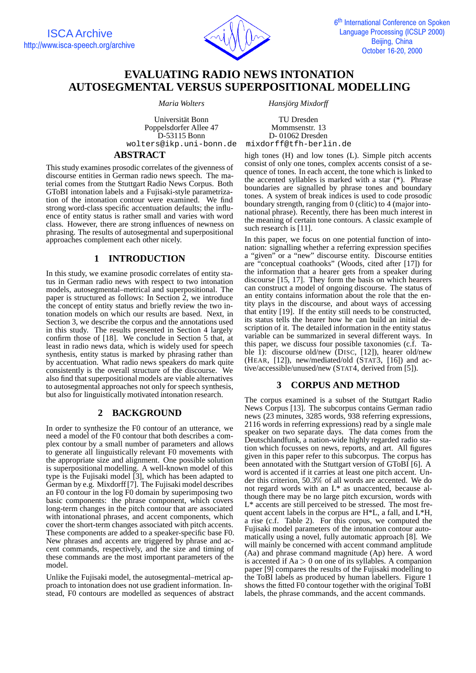

# **EVALUATING RADIO NEWS INTONATION AUTOSEGMENTAL VERSUS SUPERPOSITIONAL MODELLING**

*Maria Wolters Hansjörg Mixdorff* 

Universität Bonn TU Dresden<br>
ppelsdorfer Allee 47 Mommsenstr. 13 Poppelsdorfer Allee 47 D-53115 Bonn D- 01062 Dresden wolters@ikp.uni-bonn.de

### **ABSTRACT**

This study examines prosodic correlates of the givenness of discourse entities in German radio news speech. The material comes from the Stuttgart Radio News Corpus. Both GToBI intonation labels and a Fujisaki-style parametrization of the intonation contour were examined. We find strong word-class specific accentuation defaults; the influence of entity status is rather small and varies with word class. However, there are strong influences of newness on phrasing. The results of autosegmental and superpositional approaches complement each other nicely.

# **1 INTRODUCTION**

In this study, we examine prosodic correlates of entity status in German radio news with respect to two intonation models, autosegmental–metrical and superpositional. The paper is structured as follows: In Section 2, we introduce the concept of entity status and briefly review the two intonation models on which our results are based. Next, in Section 3, we describe the corpus and the annotations used in this study. The results presented in Section 4 largely confirm those of [18]. We conclude in Section 5 that, at least in radio news data, which is widely used for speech synthesis, entity status is marked by phrasing rather than by accentuation. What radio news speakers do mark quite consistently is the overall structure of the discourse. We also find that superpositional models are viable alternatives to autosegmental approaches not only for speech synthesis, but also for linguistically motivated intonation research.

## **2 BACKGROUND**

In order to synthesize the F0 contour of an utterance, we need a model of the F0 contour that both describes a complex contour by a small number of parameters and allows to generate all linguistically relevant F0 movements with the appropriate size and alignment. One possible solution is superpositional modelling. A well-known model of this type is the Fujisaki model [3], which has been adapted to German by e.g. Mixdorff [7]. The Fujisaki model describes an F0 contour in the log F0 domain by superimposing two basic components: the phrase component, which covers long-term changes in the pitch contour that are associated with intonational phrases, and accent components, which cover the short-term changes associated with pitch accents. These components are added to a speaker-specific base F0. New phrases and accents are triggered by phrase and accent commands, respectively, and the size and timing of these commands are the most important parameters of the model.

Unlike the Fujisaki model, the autosegmental–metrical approach to intonation does not use gradient information. Instead, F0 contours are modelled as sequences of abstract high tones (H) and low tones (L). Simple pitch accents consist of only one tones, complex accents consist of a sequence of tones. In each accent, the tone which is linked to the accented syllables is marked with a star (\*). Phrase boundaries are signalled by phrase tones and boundary tones. A system of break indices is used to code prosodic boundary strength, ranging from 0 (clitic) to 4 (major intonational phrase). Recently, there has been much interest in the meaning of certain tone contours. A classic example of such research is [11].

In this paper, we focus on one potential function of intonation: signalling whether a referring expression specifies a "given" or a "new" discourse entity. Discourse entities are "conceptual coathooks" (Woods, cited after [17]) for the information that a hearer gets from a speaker during discourse [15, 17]. They form the basis on which hearers can construct a model of ongoing discourse. The status of an entity contains information about the role that the entity plays in the discourse, and about ways of accessing that entity [19]. If the entity still needs to be constructed, its status tells the hearer how he can build an initial description of it. The detailed information in the entity status variable can be summarized in several different ways. In this paper, we discuss four possible taxonomies (c.f. Table 1): discourse old/new (DISC, [12]), hearer old/new (HEAR, [12]), new/mediated/old (STAT3, [16]) and active/accessible/unused/new (STAT4, derived from [5]).

### **3 CORPUS AND METHOD**

The corpus examined is a subset of the Stuttgart Radio News Corpus [13]. The subcorpus contains German radio news (23 minutes, 3285 words, 938 referring expressions, 2116 words in referring expressions) read by a single male speaker on two separate days. The data comes from the Deutschlandfunk, a nation-wide highly regarded radio station which focusses on news, reports, and art. All figures given in this paper refer to this subcorpus. The corpus has been annotated with the Stuttgart version of GToBI [6]. A word is accented if it carries at least one pitch accent. Under this criterion, 50.3% of all words are accented. We do not regard words with an L\* as unaccented, because although there may be no large pitch excursion, words with L\* accents are still perceived to be stressed. The most frequent accent labels in the corpus are H\*L, a fall, and L\*H, a rise (c.f. Table 2). For this corpus, we computed the Fujisaki model parameters of the intonation contour automatically using a novel, fully automatic approach [8]. We will mainly be concerned with accent command amplitude (Aa) and phrase command magnitude (Ap) here. A word is accented if  $Aa > 0$  on one of its syllables. A companion paper [9] compares the results of the Fujisaki modelling to the ToBI labels as produced by human labellers. Figure 1 shows the fitted F0 contour together with the original ToBI labels, the phrase commands, and the accent commands.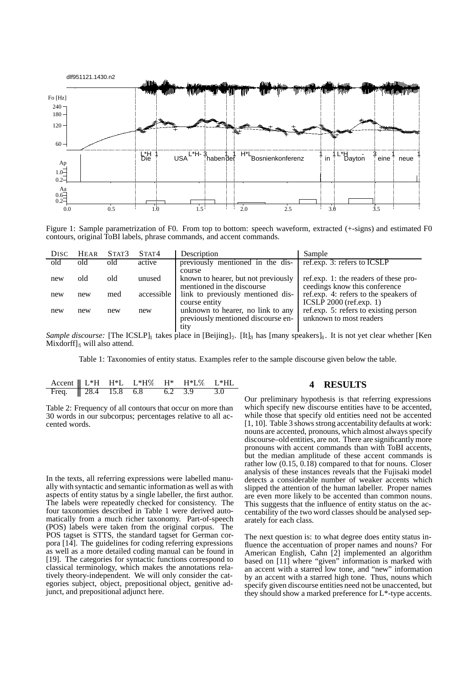

Figure 1: Sample parametrization of F0. From top to bottom: speech waveform, extracted (+-signs) and estimated F0 contours, original ToBI labels, phrase commands, and accent commands.

| DISC | <b>HEAR</b> | STAT3 | STAT4      | Description                                                                     | Sample                                                                 |
|------|-------------|-------|------------|---------------------------------------------------------------------------------|------------------------------------------------------------------------|
| old  | old         | old   | active     | previously mentioned in the dis-                                                | ref.exp. 3: refers to ICSLP                                            |
| new  | old         | old   | unused     | course<br>known to hearer, but not previously<br>mentioned in the discourse     | ref.exp. 1: the readers of these pro-<br>ceedings know this conference |
| new  | new         | med   | accessible | link to previously mentioned dis-<br>course entity                              | ref.exp. 4: refers to the speakers of<br>ICSLP $2000$ (ref.exp. 1)     |
| new  | new         | new   | new        | unknown to hearer, no link to any<br>previously mentioned discourse en-<br>tity | ref.exp. 5: refers to existing person<br>unknown to most readers       |

*Sample discourse:* [The ICSLP]<sub>1</sub> takes place in [Beijing]<sub>2</sub>. [It]<sub>3</sub> has [many speakers]<sub>4</sub>. It is not yet clear whether [Ken Mixdorff]<sub>5</sub> will also attend.

Table 1: Taxonomies of entity status. Examples refer to the sample discourse given below the table.

| Accent    L*H H*L L*H% H* H*L% L*HL                                                       |  |  |  |
|-------------------------------------------------------------------------------------------|--|--|--|
| Freq. $\begin{array}{ l} \hline 28.4 & 15.8 & 6.8 & 6.2 & 3.9 & 3.0 \ \hline \end{array}$ |  |  |  |

| Table 2: Frequency of all contours that occur on more than |
|------------------------------------------------------------|
| 30 words in our subcorpus; percentages relative to all ac- |
| cented words.                                              |

In the texts, all referring expressions were labelled manually with syntactic and semantic information as well as with aspects of entity status by a single labeller, the first author. The labels were repeatedly checked for consistency. The four taxonomies described in Table 1 were derived automatically from a much richer taxonomy. Part-of-speech (POS) labels were taken from the original corpus. The POS tagset is STTS, the standard tagset for German corpora [14]. The guidelines for coding referring expressions as well as a more detailed coding manual can be found in [19]. The categories for syntactic functions correspond to classical terminology, which makes the annotations relatively theory-independent. We will only consider the categories subject, object, prepositional object, genitive adjunct, and prepositional adjunct here.

### **4 RESULTS**

Our preliminary hypothesis is that referring expressions which specify new discourse entities have to be accented, while those that specify old entities need not be accented [1, 10]. Table 3 shows strong accentability defaults at work: nouns are accented, pronouns, which almost always specify discourse–old entities, are not. There are significantly more pronouns with accent commands than with ToBI accents, but the median amplitude of these accent commands is rather low (0.15, 0.18) compared to that for nouns. Closer analysis of these instances reveals that the Fujisaki model detects a considerable number of weaker accents which slipped the attention of the human labeller. Proper names are even more likely to be accented than common nouns. This suggests that the influence of entity status on the accentability of the two word classes should be analysed separately for each class.

The next question is: to what degree does entity status influence the accentuation of proper names and nouns? For American English, Cahn [2] implemented an algorithm based on [11] where "given" information is marked with an accent with a starred low tone, and "new" information by an accent with a starred high tone. Thus, nouns which specify given discourse entities need not be unaccented, but they should show a marked preference for L\*-type accents.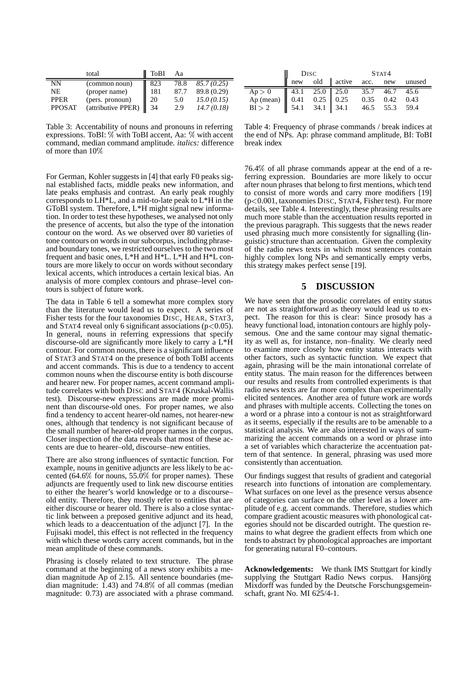|               | total              | ToBI | Aа   |             |
|---------------|--------------------|------|------|-------------|
| NN            | (common noun)      | 823  | 78.8 | 85.7(0.25)  |
| NE            | (proper name)      | 181  | 87.7 | 89.8 (0.29) |
| <b>PPER</b>   | (pers. pronoun)    | 20   | 5.0  | 15.0(0.15)  |
| <b>PPOSAT</b> | (attributive PPER) | 34   | 2.9  | 14.7(0.18)  |

Table 3: Accentability of nouns and pronouns in referring expressions. ToBI: % with ToBI accent, Aa: % with accent command, median command amplitude. *italics:* difference of more than 10%

For German, Kohler suggests in [4] that early F0 peaks signal established facts, middle peaks new information, and late peaks emphasis and contrast. An early peak roughly corresponds to LH\*L, and a mid-to-late peak to L\*H in the GToBI system. Therefore, L\*H might signal new information. In order to test these hypotheses, we analysed not only the presence of accents, but also the type of the intonation contour on the word. As we observed over 80 varieties of tone contours on words in our subcorpus, including phraseand boundary tones, we restricted ourselves to the two most frequent and basic ones, L\*H and H\*L. L\*H and H\*L contours are more likely to occur on words without secondary lexical accents, which introduces a certain lexical bias. An analysis of more complex contours and phrase–level contours is subject of future work.

The data in Table 6 tell a somewhat more complex story than the literature would lead us to expect. A series of Fisher tests for the four taxonomies DISC, HEAR, STAT3, and STAT4 reveal only 6 significant associations ( $p < 0.05$ ). In general, nouns in referring expressions that specify discourse-old are significantly more likely to carry a L\*H contour. For common nouns, there is a significant influence of STAT3 and STAT4 on the presence of both ToBI accents and accent commands. This is due to a tendency to accent common nouns when the discourse entity is both discourse and hearer new. For proper names, accent command amplitude correlates with both DISC and STAT4 (Kruskal-Wallis test). Discourse-new expressions are made more prominent than discourse-old ones. For proper names, we also find a tendency to accent hearer-old names, not hearer-new ones, although that tendency is not significant because of the small number of hearer-old proper names in the corpus. Closer inspection of the data reveals that most of these accents are due to hearer–old, discourse–new entities.

There are also strong influences of syntactic function. For example, nouns in genitive adjuncts are less likely to be accented (64.6% for nouns, 55.0% for proper names). These adjuncts are frequently used to link new discourse entities to either the hearer's world knowledge or to a discourse– old entity. Therefore, they mostly refer to entities that are either discourse or hearer old. There is also a close syntactic link between a preposed genitive adjunct and its head, which leads to a deaccentuation of the adjunct [7]. In the Fujisaki model, this effect is not reflected in the frequency with which these words carry accent commands, but in the mean amplitude of these commands.

Phrasing is closely related to text structure. The phrase command at the beginning of a news story exhibits a median magnitude Ap of 2.15. All sentence boundaries (median magnitude: 1.43) and 74.8% of all commas (median magnitude: 0.73) are associated with a phrase command.

|                                                                                                                                                                                                                                   | DISC STAT4<br>new old active <u>acc. new unused</u> |  |  |  |  |  |
|-----------------------------------------------------------------------------------------------------------------------------------------------------------------------------------------------------------------------------------|-----------------------------------------------------|--|--|--|--|--|
|                                                                                                                                                                                                                                   |                                                     |  |  |  |  |  |
|                                                                                                                                                                                                                                   |                                                     |  |  |  |  |  |
| Ap > 0<br>Ap (mean) $\begin{array}{ ccc } 43.1 & 25.0 & 25.0 & 35.7 & 46.7 & 45.6 \\ \hline \text{Ap (mean)} & 0.41 & 0.25 & 0.25 & 0.35 & 0.42 & 0.43 \\ \text{BI} > 2 & 54.1 & 34.1 & 34.1 & 46.5 & 55.3 & 59.4 \\ \end{array}$ |                                                     |  |  |  |  |  |

Table 4: Frequency of phrase commands / break indices at the end of NPs. Ap: phrase command amplitude, BI: ToBI break index

76.4% of all phrase commands appear at the end of a referring expression. Boundaries are more likely to occur after noun phrases that belong to first mentions, which tend to consist of more words and carry more modifiers [19] (p<0.001, taxonomies DISC, STAT4, Fisher test). For more details, see Table 4. Interestingly, these phrasing results are much more stable than the accentuation results reported in the previous paragraph. This suggests that the news reader used phrasing much more consistently for signalling (linguistic) structure than accentuation. Given the complexity of the radio news texts in which most sentences contain highly complex long NPs and semantically empty verbs, this strategy makes perfect sense [19].

#### **5 DISCUSSION**

We have seen that the prosodic correlates of entity status are not as straightforward as theory would lead us to expect. The reason for this is clear: Since prosody has a heavy functional load, intonation contours are highly polysemous. One and the same contour may signal thematicity as well as, for instance, non–finality. We clearly need to examine more closely how entity status interacts with other factors, such as syntactic function. We expect that again, phrasing will be the main intonational correlate of entity status. The main reason for the differences between our results and results from controlled experiments is that radio news texts are far more complex than experimentally elicited sentences. Another area of future work are words and phrases with multiple accents. Collecting the tones on a word or a phrase into a contour is not as straightforward as it seems, especially if the results are to be amenable to a statistical analysis. We are also interested in ways of summarizing the accent commands on a word or phrase into a set of variables which characterize the accentuation pattern of that sentence. In general, phrasing was used more consistently than accentuation.

Our findings suggest that results of gradient and categorial research into functions of intonation are complementary. What surfaces on one level as the presence versus absence of categories can surface on the other level as a lower amplitude of e.g. accent commands. Therefore, studies which compare gradient acoustic measures with phonological categories should not be discarded outright. The question remains to what degree the gradient effects from which one tends to abstract by phonological approaches are important for generating natural F0–contours.

**Acknowledgements:** We thank IMS Stuttgart for kindly supplying the Stuttgart Radio News corpus. Hansjörg Mixdorff was funded by the Deutsche Forschungsgemeinschaft, grant No. MI 625/4-1.